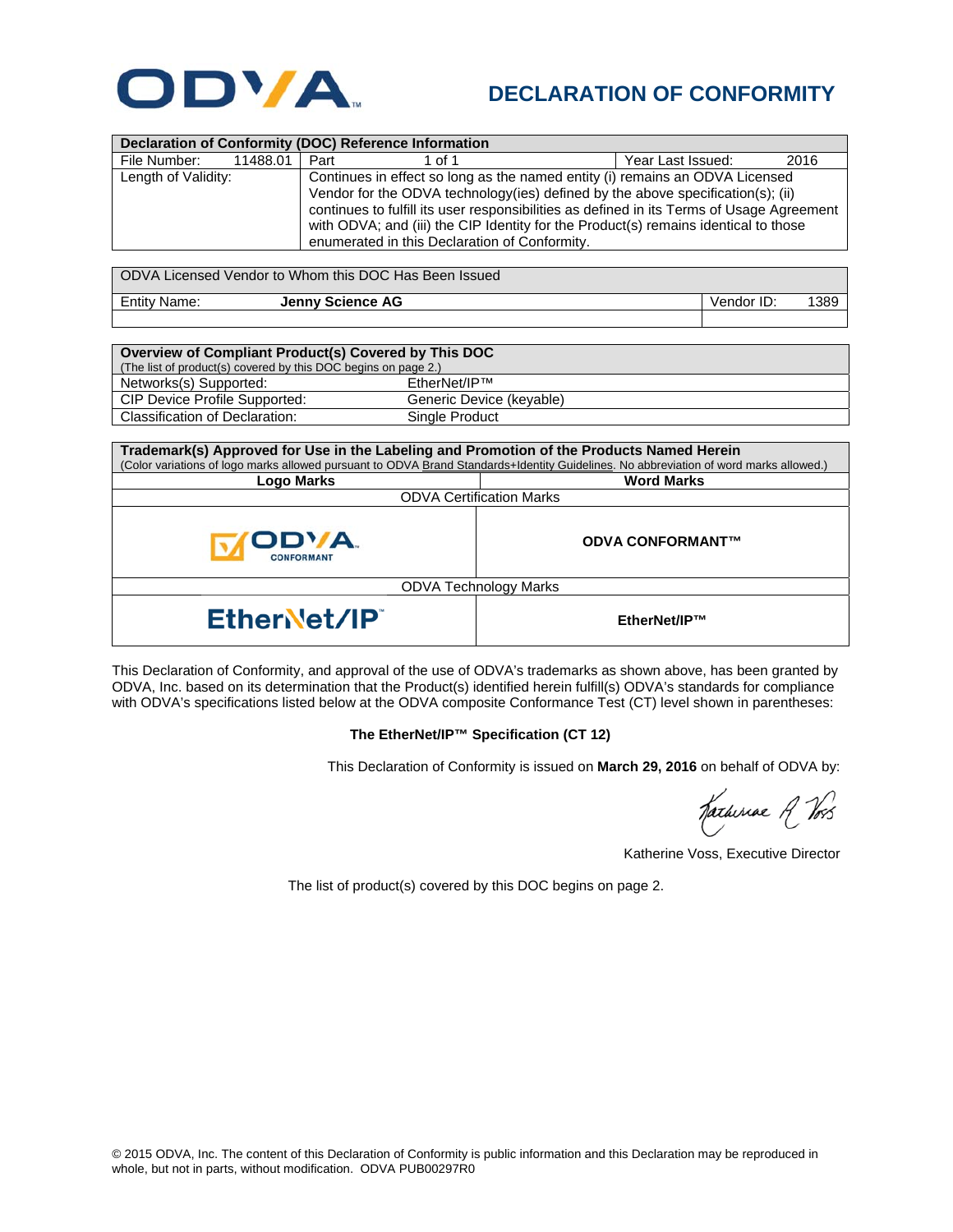

## **DECLARATION OF CONFORMITY**

| Declaration of Conformity (DOC) Reference Information                                                                                                                                                                                                                                                                                                                                                                       |                         |                   |      |  |  |  |  |
|-----------------------------------------------------------------------------------------------------------------------------------------------------------------------------------------------------------------------------------------------------------------------------------------------------------------------------------------------------------------------------------------------------------------------------|-------------------------|-------------------|------|--|--|--|--|
| File Number:<br>11488.01                                                                                                                                                                                                                                                                                                                                                                                                    | Part<br>1 of 1          | Year Last Issued: | 2016 |  |  |  |  |
| Continues in effect so long as the named entity (i) remains an ODVA Licensed<br>Length of Validity:<br>Vendor for the ODVA technology(ies) defined by the above specification(s); (ii)<br>continues to fulfill its user responsibilities as defined in its Terms of Usage Agreement<br>with ODVA; and (iii) the CIP Identity for the Product(s) remains identical to those<br>enumerated in this Declaration of Conformity. |                         |                   |      |  |  |  |  |
| ODVA Licensed Vendor to Whom this DOC Has Been Issued                                                                                                                                                                                                                                                                                                                                                                       |                         |                   |      |  |  |  |  |
| <b>Entity Name:</b>                                                                                                                                                                                                                                                                                                                                                                                                         | <b>Jenny Science AG</b> | Vendor ID:        | 1389 |  |  |  |  |
|                                                                                                                                                                                                                                                                                                                                                                                                                             |                         |                   |      |  |  |  |  |
|                                                                                                                                                                                                                                                                                                                                                                                                                             |                         |                   |      |  |  |  |  |
| Overview of Compliant Product(s) Covered by This DOC<br>(The list of product(s) covered by this DOC begins on page $2)$                                                                                                                                                                                                                                                                                                     |                         |                   |      |  |  |  |  |

| (The list of product(s) covered by this DOC begins on page 2.) |                          |  |  |  |
|----------------------------------------------------------------|--------------------------|--|--|--|
| Networks(s) Supported:                                         | EtherNet/IP™             |  |  |  |
| CIP Device Profile Supported:                                  | Generic Device (keyable) |  |  |  |
| Classification of Declaration:                                 | Single Product           |  |  |  |

| Trademark(s) Approved for Use in the Labeling and Promotion of the Products Named Herein                                              |                         |  |  |  |
|---------------------------------------------------------------------------------------------------------------------------------------|-------------------------|--|--|--|
| (Color variations of logo marks allowed pursuant to ODVA Brand Standards+Identity Guidelines. No abbreviation of word marks allowed.) |                         |  |  |  |
| Logo Marks                                                                                                                            | <b>Word Marks</b>       |  |  |  |
| <b>ODVA Certification Marks</b>                                                                                                       |                         |  |  |  |
| <b>ODVA</b><br><b>CONFORMANT</b>                                                                                                      | <b>ODVA CONFORMANT™</b> |  |  |  |
| <b>ODVA Technology Marks</b>                                                                                                          |                         |  |  |  |
| EtherNet/IP                                                                                                                           | EtherNet/IP™            |  |  |  |

This Declaration of Conformity, and approval of the use of ODVA's trademarks as shown above, has been granted by ODVA, Inc. based on its determination that the Product(s) identified herein fulfill(s) ODVA's standards for compliance with ODVA's specifications listed below at the ODVA composite Conformance Test (CT) level shown in parentheses:

## **The EtherNet/IP™ Specification (CT 12)**

This Declaration of Conformity is issued on **March 29, 2016** on behalf of ODVA by:

Katheriae R Vos

Katherine Voss, Executive Director

The list of product(s) covered by this DOC begins on page 2.